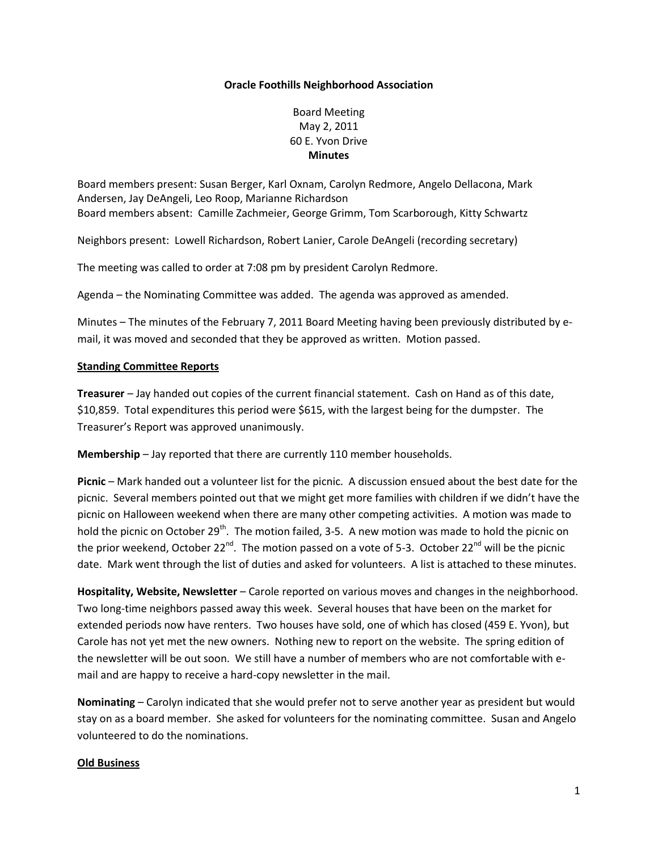## **Oracle Foothills Neighborhood Association**

Board Meeting May 2, 2011 60 E. Yvon Drive **Minutes**

Board members present: Susan Berger, Karl Oxnam, Carolyn Redmore, Angelo Dellacona, Mark Andersen, Jay DeAngeli, Leo Roop, Marianne Richardson Board members absent: Camille Zachmeier, George Grimm, Tom Scarborough, Kitty Schwartz

Neighbors present: Lowell Richardson, Robert Lanier, Carole DeAngeli (recording secretary)

The meeting was called to order at 7:08 pm by president Carolyn Redmore.

Agenda – the Nominating Committee was added. The agenda was approved as amended.

Minutes – The minutes of the February 7, 2011 Board Meeting having been previously distributed by email, it was moved and seconded that they be approved as written. Motion passed.

## **Standing Committee Reports**

**Treasurer** – Jay handed out copies of the current financial statement. Cash on Hand as of this date, \$10,859. Total expenditures this period were \$615, with the largest being for the dumpster. The Treasurer's Report was approved unanimously.

**Membership** – Jay reported that there are currently 110 member households.

**Picnic** – Mark handed out a volunteer list for the picnic. A discussion ensued about the best date for the picnic. Several members pointed out that we might get more families with children if we didn't have the picnic on Halloween weekend when there are many other competing activities. A motion was made to hold the picnic on October 29<sup>th</sup>. The motion failed, 3-5. A new motion was made to hold the picnic on the prior weekend, October 22<sup>nd</sup>. The motion passed on a vote of 5-3. October 22<sup>nd</sup> will be the picnic date. Mark went through the list of duties and asked for volunteers. A list is attached to these minutes.

**Hospitality, Website, Newsletter** – Carole reported on various moves and changes in the neighborhood. Two long-time neighbors passed away this week. Several houses that have been on the market for extended periods now have renters. Two houses have sold, one of which has closed (459 E. Yvon), but Carole has not yet met the new owners. Nothing new to report on the website. The spring edition of the newsletter will be out soon. We still have a number of members who are not comfortable with email and are happy to receive a hard-copy newsletter in the mail.

**Nominating** – Carolyn indicated that she would prefer not to serve another year as president but would stay on as a board member. She asked for volunteers for the nominating committee. Susan and Angelo volunteered to do the nominations.

#### **Old Business**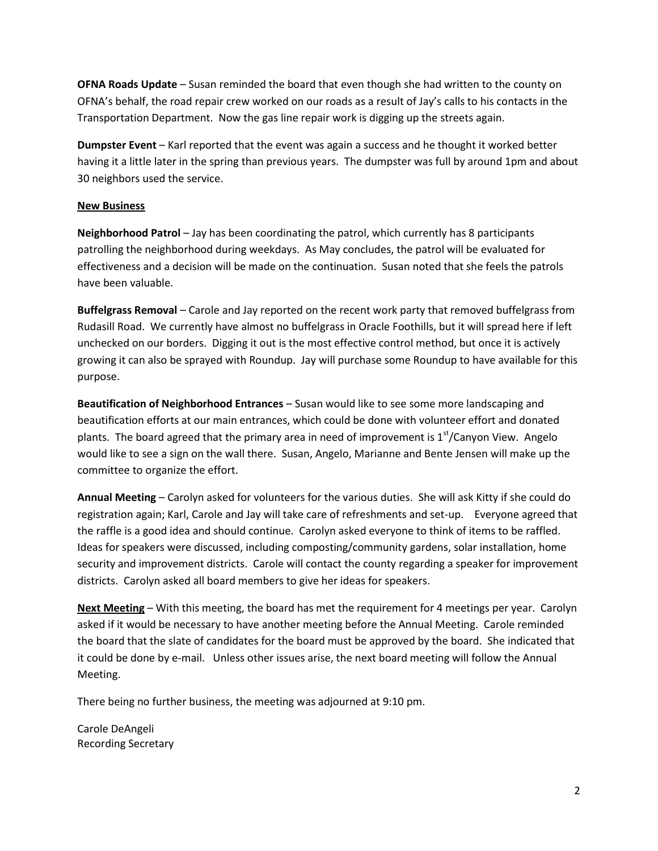**OFNA Roads Update** – Susan reminded the board that even though she had written to the county on OFNA's behalf, the road repair crew worked on our roads as a result of Jay's calls to his contacts in the Transportation Department. Now the gas line repair work is digging up the streets again.

**Dumpster Event** – Karl reported that the event was again a success and he thought it worked better having it a little later in the spring than previous years. The dumpster was full by around 1pm and about 30 neighbors used the service.

## **New Business**

**Neighborhood Patrol** – Jay has been coordinating the patrol, which currently has 8 participants patrolling the neighborhood during weekdays. As May concludes, the patrol will be evaluated for effectiveness and a decision will be made on the continuation. Susan noted that she feels the patrols have been valuable.

**Buffelgrass Removal** – Carole and Jay reported on the recent work party that removed buffelgrass from Rudasill Road. We currently have almost no buffelgrass in Oracle Foothills, but it will spread here if left unchecked on our borders. Digging it out is the most effective control method, but once it is actively growing it can also be sprayed with Roundup. Jay will purchase some Roundup to have available for this purpose.

**Beautification of Neighborhood Entrances** – Susan would like to see some more landscaping and beautification efforts at our main entrances, which could be done with volunteer effort and donated plants. The board agreed that the primary area in need of improvement is  $1<sup>st</sup>/C$ anyon View. Angelo would like to see a sign on the wall there. Susan, Angelo, Marianne and Bente Jensen will make up the committee to organize the effort.

**Annual Meeting** – Carolyn asked for volunteers for the various duties. She will ask Kitty if she could do registration again; Karl, Carole and Jay will take care of refreshments and set-up. Everyone agreed that the raffle is a good idea and should continue. Carolyn asked everyone to think of items to be raffled. Ideas for speakers were discussed, including composting/community gardens, solar installation, home security and improvement districts. Carole will contact the county regarding a speaker for improvement districts. Carolyn asked all board members to give her ideas for speakers.

**Next Meeting** – With this meeting, the board has met the requirement for 4 meetings per year. Carolyn asked if it would be necessary to have another meeting before the Annual Meeting. Carole reminded the board that the slate of candidates for the board must be approved by the board. She indicated that it could be done by e-mail. Unless other issues arise, the next board meeting will follow the Annual Meeting.

There being no further business, the meeting was adjourned at 9:10 pm.

Carole DeAngeli Recording Secretary